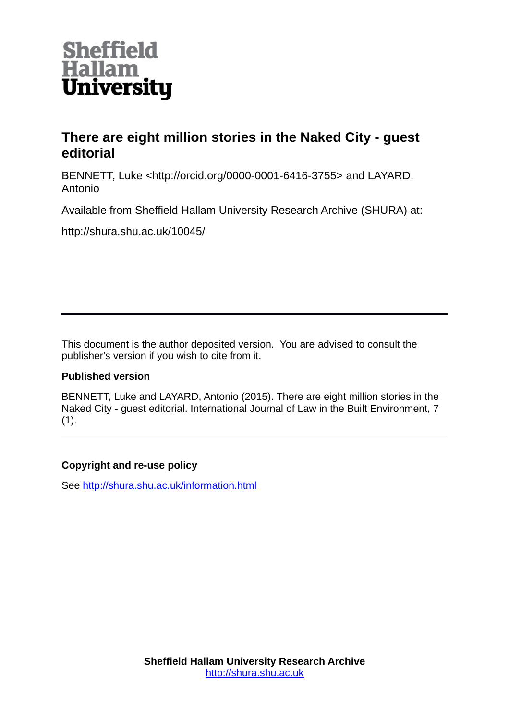

# **There are eight million stories in the Naked City - guest editorial**

BENNETT, Luke <http://orcid.org/0000-0001-6416-3755> and LAYARD, Antonio

Available from Sheffield Hallam University Research Archive (SHURA) at:

http://shura.shu.ac.uk/10045/

This document is the author deposited version. You are advised to consult the publisher's version if you wish to cite from it.

## **Published version**

BENNETT, Luke and LAYARD, Antonio (2015). There are eight million stories in the Naked City - guest editorial. International Journal of Law in the Built Environment, 7  $(1).$ 

## **Copyright and re-use policy**

See<http://shura.shu.ac.uk/information.html>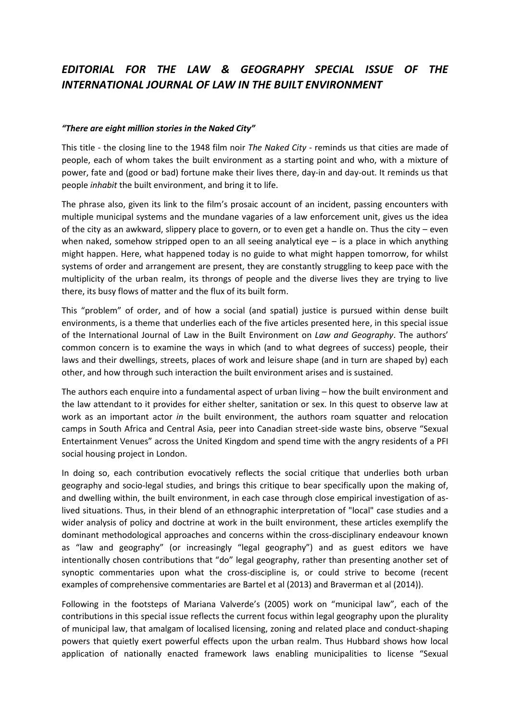## *EDITORIAL FOR THE LAW & GEOGRAPHY SPECIAL ISSUE OF THE INTERNATIONAL JOURNAL OF LAW IN THE BUILT ENVIRONMENT*

#### *"There are eight million stories in the Naked City"*

This title - the closing line to the 1948 film noir *The Naked City* - reminds us that cities are made of people, each of whom takes the built environment as a starting point and who, with a mixture of power, fate and (good or bad) fortune make their lives there, day-in and day-out. It reminds us that people *inhabit* the built environment, and bring it to life.

The phrase also, given its link to the film's prosaic account of an incident, passing encounters with multiple municipal systems and the mundane vagaries of a law enforcement unit, gives us the idea of the city as an awkward, slippery place to govern, or to even get a handle on. Thus the city – even when naked, somehow stripped open to an all seeing analytical eye  $-$  is a place in which anything might happen. Here, what happened today is no guide to what might happen tomorrow, for whilst systems of order and arrangement are present, they are constantly struggling to keep pace with the multiplicity of the urban realm, its throngs of people and the diverse lives they are trying to live there, its busy flows of matter and the flux of its built form.

This "problem" of order, and of how a social (and spatial) justice is pursued within dense built environments, is a theme that underlies each of the five articles presented here, in this special issue of the International Journal of Law in the Built Environment on *Law and Geography*. The authors' common concern is to examine the ways in which (and to what degrees of success) people, their laws and their dwellings, streets, places of work and leisure shape (and in turn are shaped by) each other, and how through such interaction the built environment arises and is sustained.

The authors each enquire into a fundamental aspect of urban living – how the built environment and the law attendant to it provides for either shelter, sanitation or sex. In this quest to observe law at work as an important actor *in* the built environment, the authors roam squatter and relocation camps in South Africa and Central Asia, peer into Canadian street-side waste bins, observe "Sexual Entertainment Venues" across the United Kingdom and spend time with the angry residents of a PFI social housing project in London.

In doing so, each contribution evocatively reflects the social critique that underlies both urban geography and socio-legal studies, and brings this critique to bear specifically upon the making of, and dwelling within, the built environment, in each case through close empirical investigation of aslived situations. Thus, in their blend of an ethnographic interpretation of "local" case studies and a wider analysis of policy and doctrine at work in the built environment, these articles exemplify the dominant methodological approaches and concerns within the cross-disciplinary endeavour known as "law and geography" (or increasingly "legal geography") and as guest editors we have intentionally chosen contributions that "do" legal geography, rather than presenting another set of synoptic commentaries upon what the cross-discipline is, or could strive to become (recent examples of comprehensive commentaries are Bartel et al (2013) and Braverman et al (2014)).

Following in the footsteps of Mariana Valverde's (2005) work on "municipal law", each of the contributions in this special issue reflects the current focus within legal geography upon the plurality of municipal law, that amalgam of localised licensing, zoning and related place and conduct-shaping powers that quietly exert powerful effects upon the urban realm. Thus Hubbard shows how local application of nationally enacted framework laws enabling municipalities to license "Sexual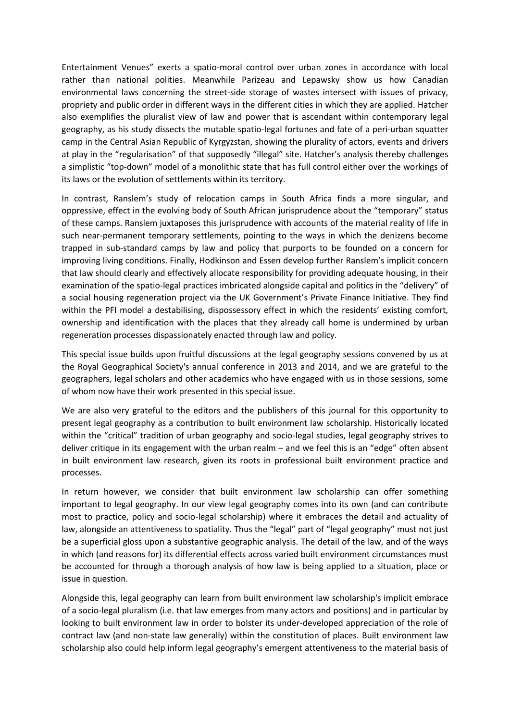Entertainment Venues" exerts a spatio-moral control over urban zones in accordance with local rather than national polities. Meanwhile Parizeau and Lepawsky show us how Canadian environmental laws concerning the street-side storage of wastes intersect with issues of privacy, propriety and public order in different ways in the different cities in which they are applied. Hatcher also exemplifies the pluralist view of law and power that is ascendant within contemporary legal geography, as his study dissects the mutable spatio-legal fortunes and fate of a peri-urban squatter camp in the Central Asian Republic of Kyrgyzstan, showing the plurality of actors, events and drivers at play in the "regularisation" of that supposedly "illegal" site. Hatcher's analysis thereby challenges a simplistic "top-down" model of a monolithic state that has full control either over the workings of its laws or the evolution of settlements within its territory.

In contrast, Ranslem's study of relocation camps in South Africa finds a more singular, and oppressive, effect in the evolving body of South African jurisprudence about the "temporary" status of these camps. Ranslem juxtaposes this jurisprudence with accounts of the material reality of life in such near-permanent temporary settlements, pointing to the ways in which the denizens become trapped in sub-standard camps by law and policy that purports to be founded on a concern for improving living conditions. Finally, Hodkinson and Essen develop further Ranslem's implicit concern that law should clearly and effectively allocate responsibility for providing adequate housing, in their examination of the spatio-legal practices imbricated alongside capital and politics in the "delivery" of a social housing regeneration project via the UK Government's Private Finance Initiative. They find within the PFI model a destabilising, dispossessory effect in which the residents' existing comfort, ownership and identification with the places that they already call home is undermined by urban regeneration processes dispassionately enacted through law and policy.

This special issue builds upon fruitful discussions at the legal geography sessions convened by us at the Royal Geographical Society's annual conference in 2013 and 2014, and we are grateful to the geographers, legal scholars and other academics who have engaged with us in those sessions, some of whom now have their work presented in this special issue.

We are also very grateful to the editors and the publishers of this journal for this opportunity to present legal geography as a contribution to built environment law scholarship. Historically located within the "critical" tradition of urban geography and socio-legal studies, legal geography strives to deliver critique in its engagement with the urban realm – and we feel this is an "edge" often absent in built environment law research, given its roots in professional built environment practice and processes.

In return however, we consider that built environment law scholarship can offer something important to legal geography. In our view legal geography comes into its own (and can contribute most to practice, policy and socio-legal scholarship) where it embraces the detail and actuality of law, alongside an attentiveness to spatiality. Thus the "legal" part of "legal geography" must not just be a superficial gloss upon a substantive geographic analysis. The detail of the law, and of the ways in which (and reasons for) its differential effects across varied built environment circumstances must be accounted for through a thorough analysis of how law is being applied to a situation, place or issue in question.

Alongside this, legal geography can learn from built environment law scholarship's implicit embrace of a socio-legal pluralism (i.e. that law emerges from many actors and positions) and in particular by looking to built environment law in order to bolster its under-developed appreciation of the role of contract law (and non-state law generally) within the constitution of places. Built environment law scholarship also could help inform legal geography's emergent attentiveness to the material basis of